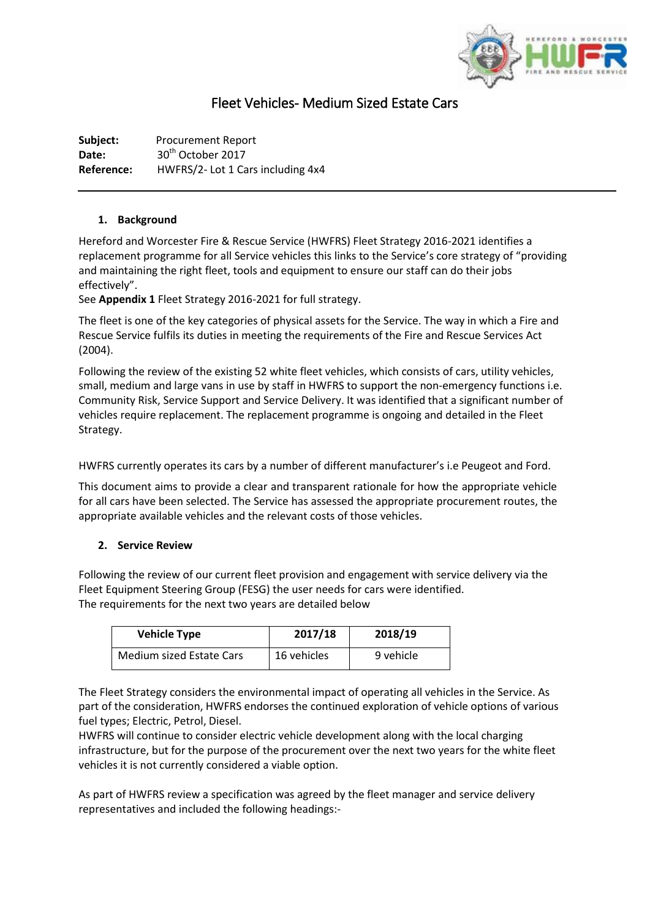

# Fleet Vehicles- Medium Sized Estate Cars

**Subject:** Procurement Report Date: 30<sup>th</sup> October 2017 **Reference:** HWFRS/2- Lot 1 Cars including 4x4

## **1. Background**

Hereford and Worcester Fire & Rescue Service (HWFRS) Fleet Strategy 2016-2021 identifies a replacement programme for all Service vehicles this links to the Service's core strategy of "providing and maintaining the right fleet, tools and equipment to ensure our staff can do their jobs effectively".

See **Appendix 1** Fleet Strategy 2016-2021 for full strategy.

The fleet is one of the key categories of physical assets for the Service. The way in which a Fire and Rescue Service fulfils its duties in meeting the requirements of the Fire and Rescue Services Act (2004).

Following the review of the existing 52 white fleet vehicles, which consists of cars, utility vehicles, small, medium and large vans in use by staff in HWFRS to support the non-emergency functions i.e. Community Risk, Service Support and Service Delivery. It was identified that a significant number of vehicles require replacement. The replacement programme is ongoing and detailed in the Fleet Strategy.

HWFRS currently operates its cars by a number of different manufacturer's i.e Peugeot and Ford.

This document aims to provide a clear and transparent rationale for how the appropriate vehicle for all cars have been selected. The Service has assessed the appropriate procurement routes, the appropriate available vehicles and the relevant costs of those vehicles.

# **2. Service Review**

Following the review of our current fleet provision and engagement with service delivery via the Fleet Equipment Steering Group (FESG) the user needs for cars were identified. The requirements for the next two years are detailed below

| <b>Vehicle Type</b>      | 2017/18     | 2018/19   |  |
|--------------------------|-------------|-----------|--|
| Medium sized Estate Cars | 16 vehicles | 9 vehicle |  |

The Fleet Strategy considers the environmental impact of operating all vehicles in the Service. As part of the consideration, HWFRS endorses the continued exploration of vehicle options of various fuel types; Electric, Petrol, Diesel.

HWFRS will continue to consider electric vehicle development along with the local charging infrastructure, but for the purpose of the procurement over the next two years for the white fleet vehicles it is not currently considered a viable option.

As part of HWFRS review a specification was agreed by the fleet manager and service delivery representatives and included the following headings:-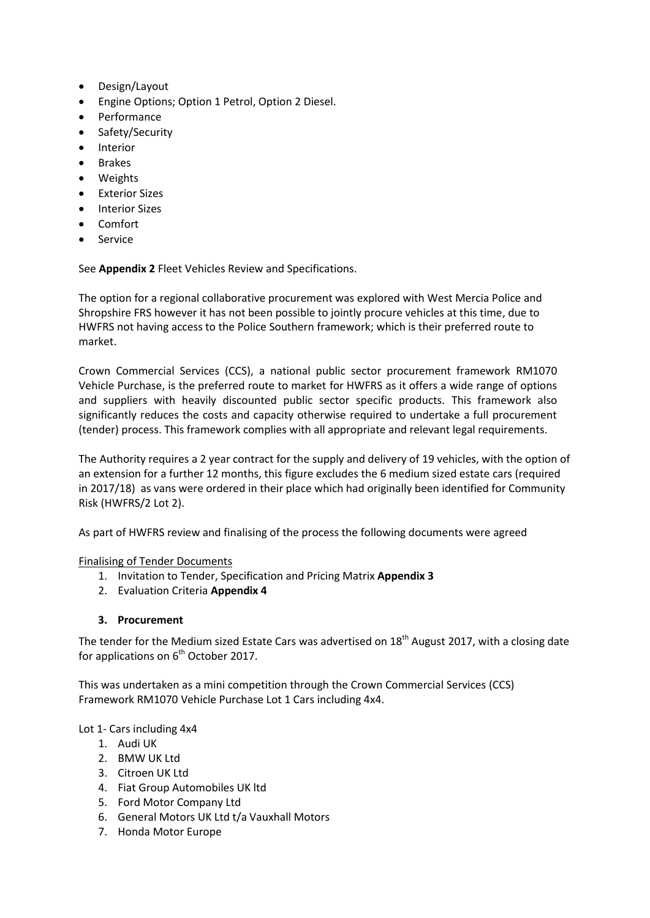- Design/Layout
- Engine Options; Option 1 Petrol, Option 2 Diesel.
- Performance
- Safety/Security
- **•** Interior
- Brakes
- Weights
- **•** Exterior Sizes
- Interior Sizes
- Comfort
- Service

See **Appendix 2** Fleet Vehicles Review and Specifications.

The option for a regional collaborative procurement was explored with West Mercia Police and Shropshire FRS however it has not been possible to jointly procure vehicles at this time, due to HWFRS not having access to the Police Southern framework; which is their preferred route to market.

Crown Commercial Services (CCS), a national public sector procurement framework RM1070 Vehicle Purchase, is the preferred route to market for HWFRS as it offers a wide range of options and suppliers with heavily discounted public sector specific products. This framework also significantly reduces the costs and capacity otherwise required to undertake a full procurement (tender) process. This framework complies with all appropriate and relevant legal requirements.

The Authority requires a 2 year contract for the supply and delivery of 19 vehicles, with the option of an extension for a further 12 months, this figure excludes the 6 medium sized estate cars (required in 2017/18) as vans were ordered in their place which had originally been identified for Community Risk (HWFRS/2 Lot 2).

As part of HWFRS review and finalising of the process the following documents were agreed

#### Finalising of Tender Documents

- 1. Invitation to Tender, Specification and Pricing Matrix **Appendix 3**
- 2. Evaluation Criteria **Appendix 4**

#### **3. Procurement**

The tender for the Medium sized Estate Cars was advertised on 18<sup>th</sup> August 2017, with a closing date for applications on  $6<sup>th</sup>$  October 2017.

This was undertaken as a mini competition through the Crown Commercial Services (CCS) Framework RM1070 Vehicle Purchase Lot 1 Cars including 4x4.

Lot 1- Cars including 4x4

- 1. Audi UK
- 2. BMW UK Ltd
- 3. Citroen UK Ltd
- 4. Fiat Group Automobiles UK ltd
- 5. Ford Motor Company Ltd
- 6. General Motors UK Ltd t/a Vauxhall Motors
- 7. Honda Motor Europe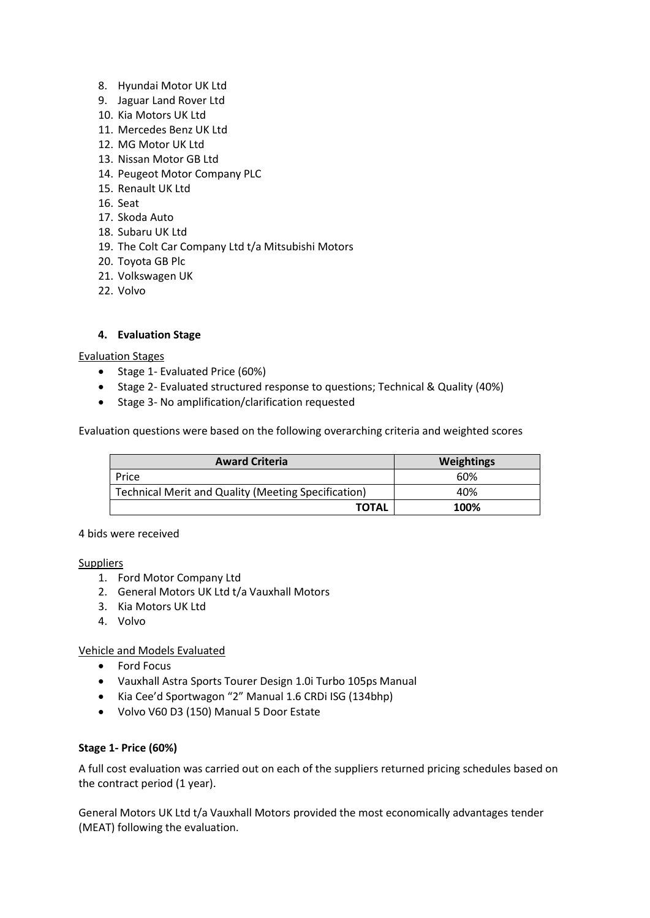- 8. Hyundai Motor UK Ltd
- 9. Jaguar Land Rover Ltd
- 10. Kia Motors UK Ltd
- 11. Mercedes Benz UK Ltd
- 12. MG Motor UK Ltd
- 13. Nissan Motor GB Ltd
- 14. Peugeot Motor Company PLC
- 15. Renault UK Ltd
- 16. Seat
- 17. Skoda Auto
- 18. Subaru UK Ltd
- 19. The Colt Car Company Ltd t/a Mitsubishi Motors
- 20. Toyota GB Plc
- 21. Volkswagen UK
- 22. Volvo

## **4. Evaluation Stage**

#### Evaluation Stages

- Stage 1- Evaluated Price (60%)
- Stage 2- Evaluated structured response to questions; Technical & Quality (40%)
- Stage 3- No amplification/clarification requested

Evaluation questions were based on the following overarching criteria and weighted scores

| <b>Award Criteria</b>                               | Weightings |  |  |
|-----------------------------------------------------|------------|--|--|
| Price                                               | 60%        |  |  |
| Technical Merit and Quality (Meeting Specification) | 40%        |  |  |
| <b>TOTAL</b>                                        | 100%       |  |  |

#### 4 bids were received

#### **Suppliers**

- 1. Ford Motor Company Ltd
- 2. General Motors UK Ltd t/a Vauxhall Motors
- 3. Kia Motors UK Ltd
- 4. Volvo

Vehicle and Models Evaluated

- Ford Focus
- Vauxhall Astra Sports Tourer Design 1.0i Turbo 105ps Manual
- Kia Cee'd Sportwagon "2" Manual 1.6 CRDi ISG (134bhp)
- Volvo V60 D3 (150) Manual 5 Door Estate

#### **Stage 1- Price (60%)**

A full cost evaluation was carried out on each of the suppliers returned pricing schedules based on the contract period (1 year).

General Motors UK Ltd t/a Vauxhall Motors provided the most economically advantages tender (MEAT) following the evaluation.